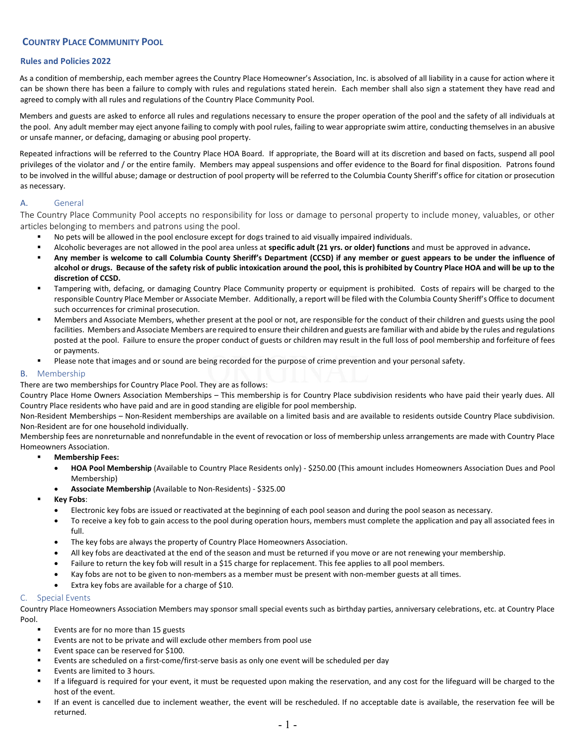# COUNTRY PLACE COMMUNITY POOL

### Rules and Policies 2022

As a condition of membership, each member agrees the Country Place Homeowner's Association, Inc. is absolved of all liability in a cause for action where it can be shown there has been a failure to comply with rules and regulations stated herein. Each member shall also sign a statement they have read and agreed to comply with all rules and regulations of the Country Place Community Pool.

Members and guests are asked to enforce all rules and regulations necessary to ensure the proper operation of the pool and the safety of all individuals at the pool. Any adult member may eject anyone failing to comply with pool rules, failing to wear appropriate swim attire, conducting themselves in an abusive or unsafe manner, or defacing, damaging or abusing pool property.

Repeated infractions will be referred to the Country Place HOA Board. If appropriate, the Board will at its discretion and based on facts, suspend all pool privileges of the violator and / or the entire family. Members may appeal suspensions and offer evidence to the Board for final disposition. Patrons found to be involved in the willful abuse; damage or destruction of pool property will be referred to the Columbia County Sheriff's office for citation or prosecution as necessary.

### A. General

The Country Place Community Pool accepts no responsibility for loss or damage to personal property to include money, valuables, or other articles belonging to members and patrons using the pool.

- No pets will be allowed in the pool enclosure except for dogs trained to aid visually impaired individuals.
- Alcoholic beverages are not allowed in the pool area unless at specific adult (21 yrs. or older) functions and must be approved in advance.
- Any member is welcome to call Columbia County Sheriff's Department (CCSD) if any member or guest appears to be under the influence of alcohol or drugs. Because of the safety risk of public intoxication around the pool, this is prohibited by Country Place HOA and will be up to the discretion of CCSD.
- Tampering with, defacing, or damaging Country Place Community property or equipment is prohibited. Costs of repairs will be charged to the responsible Country Place Member or Associate Member. Additionally, a report will be filed with the Columbia County Sheriff's Office to document such occurrences for criminal prosecution.
- Members and Associate Members, whether present at the pool or not, are responsible for the conduct of their children and guests using the pool facilities. Members and Associate Members are required to ensure their children and guests are familiar with and abide by the rules and regulations posted at the pool. Failure to ensure the proper conduct of guests or children may result in the full loss of pool membership and forfeiture of fees or payments.
- Please note that images and or sound are being recorded for the purpose of crime prevention and your personal safety.

### B. Membership

There are two memberships for Country Place Pool. They are as follows:

Country Place Home Owners Association Memberships – This membership is for Country Place subdivision residents who have paid their yearly dues. All Country Place residents who have paid and are in good standing are eligible for pool membership.

Non-Resident Memberships – Non-Resident memberships are available on a limited basis and are available to residents outside Country Place subdivision. Non-Resident are for one household individually.

Membership fees are nonreturnable and nonrefundable in the event of revocation or loss of membership unless arrangements are made with Country Place Homeowners Association.

- Membership Fees:
	- HOA Pool Membership (Available to Country Place Residents only) \$250.00 (This amount includes Homeowners Association Dues and Pool Membership)
	- Associate Membership (Available to Non-Residents) \$325.00
- Key Fobs:
	- Electronic key fobs are issued or reactivated at the beginning of each pool season and during the pool season as necessary.
	- To receive a key fob to gain access to the pool during operation hours, members must complete the application and pay all associated fees in full.
	- The key fobs are always the property of Country Place Homeowners Association.
	- All key fobs are deactivated at the end of the season and must be returned if you move or are not renewing your membership.
	- Failure to return the key fob will result in a \$15 charge for replacement. This fee applies to all pool members.
	- Kay fobs are not to be given to non-members as a member must be present with non-member guests at all times.
	- Extra key fobs are available for a charge of \$10.

#### C. Special Events

Country Place Homeowners Association Members may sponsor small special events such as birthday parties, anniversary celebrations, etc. at Country Place Pool.

- Events are for no more than 15 guests
- Events are not to be private and will exclude other members from pool use
- Event space can be reserved for \$100.
- Events are scheduled on a first-come/first-serve basis as only one event will be scheduled per day
- Events are limited to 3 hours.
- If a lifeguard is required for your event, it must be requested upon making the reservation, and any cost for the lifeguard will be charged to the host of the event.
- If an event is cancelled due to inclement weather, the event will be rescheduled. If no acceptable date is available, the reservation fee will be returned.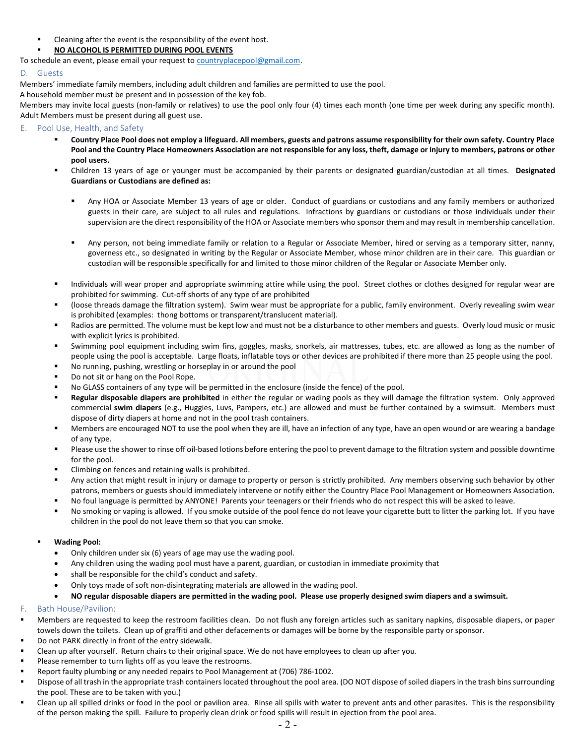- Cleaning after the event is the responsibility of the event host.
- NO ALCOHOL IS PERMITTED DURING POOL EVENTS
- To schedule an event, please email your request to countryplacepool@gmail.com.

### D. Guests

Members' immediate family members, including adult children and families are permitted to use the pool.

A household member must be present and in possession of the key fob.

Members may invite local guests (non-family or relatives) to use the pool only four (4) times each month (one time per week during any specific month). Adult Members must be present during all guest use.

### E. Pool Use, Health, and Safety

- Country Place Pool does not employ a lifeguard. All members, guests and patrons assume responsibility for their own safety. Country Place Pool and the Country Place Homeowners Association are not responsible for any loss, theft, damage or injury to members, patrons or other pool users.
- Children 13 years of age or younger must be accompanied by their parents or designated guardian/custodian at all times. Designated Guardians or Custodians are defined as:
	- Any HOA or Associate Member 13 years of age or older. Conduct of guardians or custodians and any family members or authorized guests in their care, are subject to all rules and regulations. Infractions by guardians or custodians or those individuals under their supervision are the direct responsibility of the HOA or Associate members who sponsor them and may result in membership cancellation.
	- Any person, not being immediate family or relation to a Regular or Associate Member, hired or serving as a temporary sitter, nanny, governess etc., so designated in writing by the Regular or Associate Member, whose minor children are in their care. This guardian or custodian will be responsible specifically for and limited to those minor children of the Regular or Associate Member only.
- Individuals will wear proper and appropriate swimming attire while using the pool. Street clothes or clothes designed for regular wear are prohibited for swimming. Cut-off shorts of any type of are prohibited
- (loose threads damage the filtration system). Swim wear must be appropriate for a public, family environment. Overly revealing swim wear is prohibited (examples: thong bottoms or transparent/translucent material).
- Radios are permitted. The volume must be kept low and must not be a disturbance to other members and guests. Overly loud music or music with explicit lyrics is prohibited.
- Swimming pool equipment including swim fins, goggles, masks, snorkels, air mattresses, tubes, etc. are allowed as long as the number of people using the pool is acceptable. Large floats, inflatable toys or other devices are prohibited if there more than 25 people using the pool.
- No running, pushing, wrestling or horseplay in or around the pool
- Do not sit or hang on the Pool Rope.
- No GLASS containers of any type will be permitted in the enclosure (inside the fence) of the pool.
- Regular disposable diapers are prohibited in either the regular or wading pools as they will damage the filtration system. Only approved commercial swim diapers (e.g., Huggies, Luvs, Pampers, etc.) are allowed and must be further contained by a swimsuit. Members must dispose of dirty diapers at home and not in the pool trash containers.
- Members are encouraged NOT to use the pool when they are ill, have an infection of any type, have an open wound or are wearing a bandage of any type.
- Please use the shower to rinse off oil-based lotions before entering the pool to prevent damage to the filtration system and possible downtime for the pool.
- Climbing on fences and retaining walls is prohibited.
- Any action that might result in injury or damage to property or person is strictly prohibited. Any members observing such behavior by other patrons, members or guests should immediately intervene or notify either the Country Place Pool Management or Homeowners Association.
- No foul language is permitted by ANYONE! Parents your teenagers or their friends who do not respect this will be asked to leave.
- No smoking or vaping is allowed. If you smoke outside of the pool fence do not leave your cigarette butt to litter the parking lot. If you have children in the pool do not leave them so that you can smoke.

### Wading Pool:

- Only children under six (6) years of age may use the wading pool.
- Any children using the wading pool must have a parent, guardian, or custodian in immediate proximity that
- shall be responsible for the child's conduct and safety.
- Only toys made of soft non-disintegrating materials are allowed in the wading pool.
- NO regular disposable diapers are permitted in the wading pool. Please use properly designed swim diapers and a swimsuit.

## F. Bath House/Pavilion:

- Members are requested to keep the restroom facilities clean. Do not flush any foreign articles such as sanitary napkins, disposable diapers, or paper towels down the toilets. Clean up of graffiti and other defacements or damages will be borne by the responsible party or sponsor.
- Do not PARK directly in front of the entry sidewalk.
- Clean up after yourself. Return chairs to their original space. We do not have employees to clean up after you.
- Please remember to turn lights off as you leave the restrooms.
- Report faulty plumbing or any needed repairs to Pool Management at (706) 786-1002.
- Dispose of all trash in the appropriate trash containers located throughout the pool area. (DO NOT dispose of soiled diapers in the trash bins surrounding the pool. These are to be taken with you.)
- Clean up all spilled drinks or food in the pool or pavilion area. Rinse all spills with water to prevent ants and other parasites. This is the responsibility of the person making the spill. Failure to properly clean drink or food spills will result in ejection from the pool area.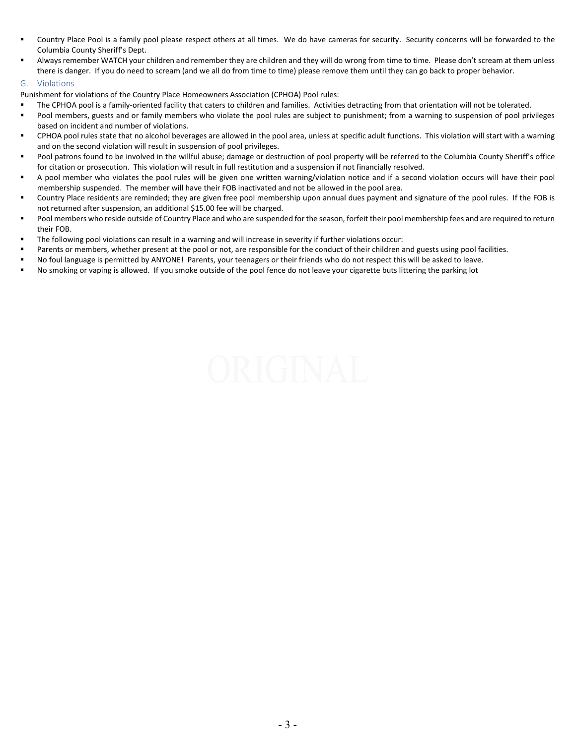- Country Place Pool is a family pool please respect others at all times. We do have cameras for security. Security concerns will be forwarded to the Columbia County Sheriff's Dept.
- Always remember WATCH your children and remember they are children and they will do wrong from time to time. Please don't scream at them unless there is danger. If you do need to scream (and we all do from time to time) please remove them until they can go back to proper behavior.

### G. Violations

Punishment for violations of the Country Place Homeowners Association (CPHOA) Pool rules:

- The CPHOA pool is a family-oriented facility that caters to children and families. Activities detracting from that orientation will not be tolerated.
- Pool members, guests and or family members who violate the pool rules are subject to punishment; from a warning to suspension of pool privileges based on incident and number of violations.
- CPHOA pool rules state that no alcohol beverages are allowed in the pool area, unless at specific adult functions. This violation will start with a warning and on the second violation will result in suspension of pool privileges.
- Pool patrons found to be involved in the willful abuse; damage or destruction of pool property will be referred to the Columbia County Sheriff's office for citation or prosecution. This violation will result in full restitution and a suspension if not financially resolved.
- A pool member who violates the pool rules will be given one written warning/violation notice and if a second violation occurs will have their pool membership suspended. The member will have their FOB inactivated and not be allowed in the pool area.
- Country Place residents are reminded; they are given free pool membership upon annual dues payment and signature of the pool rules. If the FOB is not returned after suspension, an additional \$15.00 fee will be charged.
- Pool members who reside outside of Country Place and who are suspended for the season, forfeit their pool membership fees and are required to return their FOB.
- The following pool violations can result in a warning and will increase in severity if further violations occur:
- Parents or members, whether present at the pool or not, are responsible for the conduct of their children and guests using pool facilities.
- No foul language is permitted by ANYONE! Parents, your teenagers or their friends who do not respect this will be asked to leave.
- No smoking or vaping is allowed. If you smoke outside of the pool fence do not leave your cigarette buts littering the parking lot